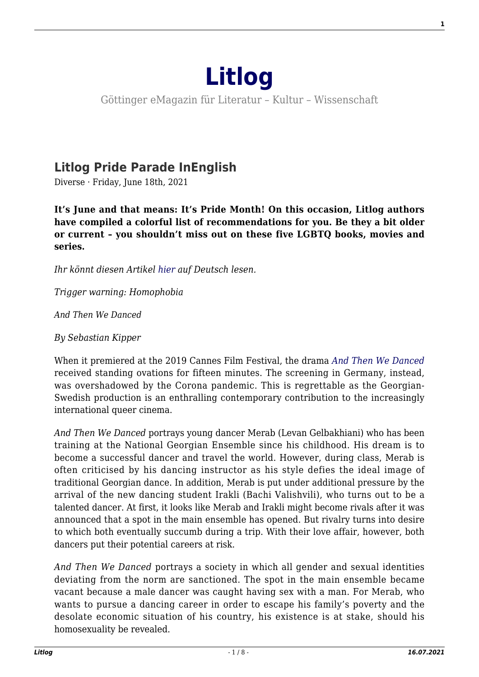# **[Litlog](http://www.litlog.de/)**

Göttinger eMagazin für Literatur – Kultur – Wissenschaft

## **[Litlog Pride Parade InEnglish](http://www.litlog.de/litlog-pride-parade-inenglish/)**

Diverse · Friday, June 18th, 2021

**It's June and that means: It's Pride Month! On this occasion, Litlog authors have compiled a colorful list of recommendations for you. Be they a bit older or current – you shouldn't miss out on these five LGBTQ books, movies and series.**

*Ihr könnt diesen Artikel [hier](http://www.litlog.de/litlog-pride-parade/) auf Deutsch lesen.*

*Trigger warning: Homophobia*

*And Then We Danced*

*By Sebastian Kipper*

When it premiered at the 2019 Cannes Film Festival, the drama *[And Then We Danced](https://www.youtube.com/watch?v=n25XEhQ6764)* received standing ovations for fifteen minutes. The screening in Germany, instead, was overshadowed by the Corona pandemic. This is regrettable as the Georgian-Swedish production is an enthralling contemporary contribution to the increasingly international queer cinema.

*And Then We Danced* portrays young dancer Merab (Levan Gelbakhiani) who has been training at the National Georgian Ensemble since his childhood. His dream is to become a successful dancer and travel the world. However, during class, Merab is often criticised by his dancing instructor as his style defies the ideal image of traditional Georgian dance. In addition, Merab is put under additional pressure by the arrival of the new dancing student Irakli (Bachi Valishvili), who turns out to be a talented dancer. At first, it looks like Merab and Irakli might become rivals after it was announced that a spot in the main ensemble has opened. But rivalry turns into desire to which both eventually succumb during a trip. With their love affair, however, both dancers put their potential careers at risk.

*And Then We Danced* portrays a society in which all gender and sexual identities deviating from the norm are sanctioned. The spot in the main ensemble became vacant because a male dancer was caught having sex with a man. For Merab, who wants to pursue a dancing career in order to escape his family's poverty and the desolate economic situation of his country, his existence is at stake, should his homosexuality be revealed.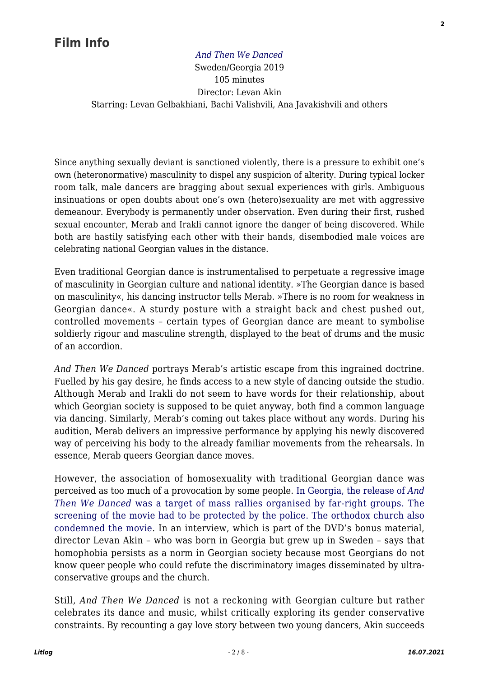# **[Film Info](#page--1-0)**

#### *[And Then We Danced](https://www.polyfilm.at/film/als-wir-tanzten/)*

Sweden/Georgia 2019 105 minutes Director: Levan Akin Starring: Levan Gelbakhiani, Bachi Valishvili, Ana Javakishvili and others

Since anything sexually deviant is sanctioned violently, there is a pressure to exhibit one's own (heteronormative) masculinity to dispel any suspicion of alterity. During typical locker room talk, male dancers are bragging about sexual experiences with girls. Ambiguous insinuations or open doubts about one's own (hetero)sexuality are met with aggressive demeanour. Everybody is permanently under observation. Even during their first, rushed sexual encounter, Merab and Irakli cannot ignore the danger of being discovered. While both are hastily satisfying each other with their hands, disembodied male voices are celebrating national Georgian values in the distance.

Even traditional Georgian dance is instrumentalised to perpetuate a regressive image of masculinity in Georgian culture and national identity. »The Georgian dance is based on masculinity«, his dancing instructor tells Merab. »There is no room for weakness in Georgian dance«. A sturdy posture with a straight back and chest pushed out, controlled movements – certain types of Georgian dance are meant to symbolise soldierly rigour and masculine strength, displayed to the beat of drums and the music of an accordion.

*And Then We Danced* portrays Merab's artistic escape from this ingrained doctrine. Fuelled by his gay desire, he finds access to a new style of dancing outside the studio. Although Merab and Irakli do not seem to have words for their relationship, about which Georgian society is supposed to be quiet anyway, both find a common language via dancing. Similarly, Merab's coming out takes place without any words. During his audition, Merab delivers an impressive performance by applying his newly discovered way of perceiving his body to the already familiar movements from the rehearsals. In essence, Merab queers Georgian dance moves.

However, the association of homosexuality with traditional Georgian dance was perceived as too much of a provocation by some people. [In Georgia, the release of](https://www.bbc.com/news/world-europe-50821544) *[And](https://www.bbc.com/news/world-europe-50821544) [Then We Danced](https://www.bbc.com/news/world-europe-50821544)* [was a target of mass rallies organised by far-right groups. The](https://www.bbc.com/news/world-europe-50821544) [screening of the movie had to be protected by the police. The orthodox church also](https://www.bbc.com/news/world-europe-50821544) [condemned the movie](https://www.bbc.com/news/world-europe-50821544). In an interview, which is part of the DVD's bonus material, director Levan Akin – who was born in Georgia but grew up in Sweden – says that homophobia persists as a norm in Georgian society because most Georgians do not know queer people who could refute the discriminatory images disseminated by ultraconservative groups and the church.

Still, *And Then We Danced* is not a reckoning with Georgian culture but rather celebrates its dance and music, whilst critically exploring its gender conservative constraints. By recounting a gay love story between two young dancers, Akin succeeds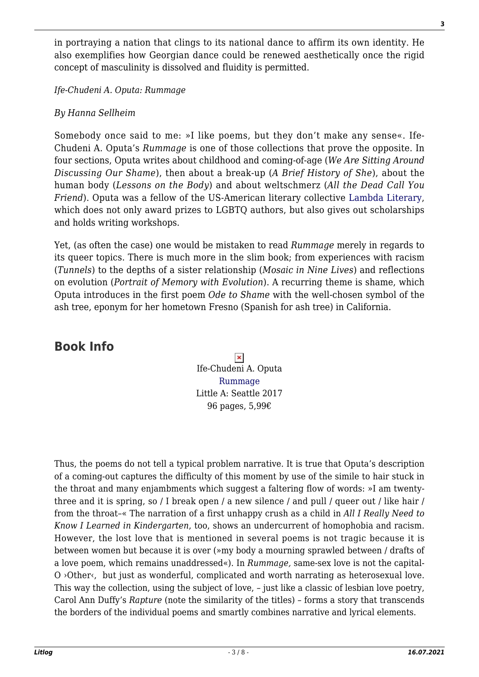in portraying a nation that clings to its national dance to affirm its own identity. He also exemplifies how Georgian dance could be renewed aesthetically once the rigid concept of masculinity is dissolved and fluidity is permitted.

*Ife-Chudeni A. Oputa: Rummage*

## *By Hanna Sellheim*

Somebody once said to me: »I like poems, but they don't make any sense«. Ife-Chudeni A. Oputa's *Rummage* is one of those collections that prove the opposite. In four sections, Oputa writes about childhood and coming-of-age (*We Are Sitting Around Discussing Our Shame*), then about a break-up (*A Brief History of She*), about the human body (*Lessons on the Body*) and about weltschmerz (*All the Dead Call You Friend*). Oputa was a fellow of the US-American literary collective [Lambda Literary](https://www.lambdaliterary.org/), which does not only award prizes to LGBTQ authors, but also gives out scholarships and holds writing workshops.

Yet, (as often the case) one would be mistaken to read *Rummage* merely in regards to its queer topics. There is much more in the slim book; from experiences with racism (*Tunnels*) to the depths of a sister relationship (*Mosaic in Nine Lives*) and reflections on evolution (*Portrait of Memory with Evolution*). A recurring theme is shame, which Oputa introduces in the first poem *Ode to Shame* with the well-chosen symbol of the ash tree, eponym for her hometown Fresno (Spanish for ash tree) in California.

# **[Book Info](#page--1-0)**

 $\pmb{\times}$ Ife-Chudeni A. Oputa [Rummage](https://www.amazon.de/Rummage-Ife-Chudeni-Oputa/dp/1503941981) Little A: Seattle 2017 96 pages, 5,99€

Thus, the poems do not tell a typical problem narrative. It is true that Oputa's description of a coming-out captures the difficulty of this moment by use of the simile to hair stuck in the throat and many enjambments which suggest a faltering flow of words: »I am twentythree and it is spring, so / I break open / a new silence / and pull / queer out / like hair / from the throat–« The narration of a first unhappy crush as a child in *All I Really Need to Know I Learned in Kindergarten*, too, shows an undercurrent of homophobia and racism. However, the lost love that is mentioned in several poems is not tragic because it is between women but because it is over (»my body a mourning sprawled between / drafts of a love poem, which remains unaddressed«). In *Rummage,* same-sex love is not the capital-O >Other<, but just as wonderful, complicated and worth narrating as heterosexual love. This way the collection, using the subject of love, – just like a classic of lesbian love poetry, Carol Ann Duffy's *Rapture* (note the similarity of the titles) – forms a story that transcends the borders of the individual poems and smartly combines narrative and lyrical elements.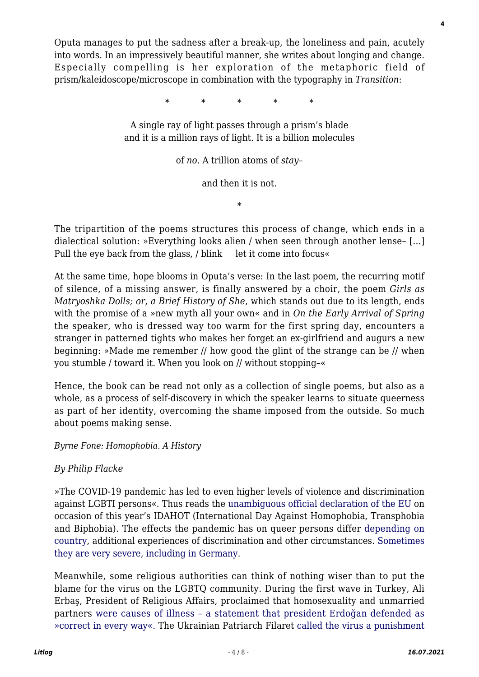Oputa manages to put the sadness after a break-up, the loneliness and pain, acutely into words. In an impressively beautiful manner, she writes about longing and change. Especially compelling is her exploration of the metaphoric field of prism/kaleidoscope/microscope in combination with the typography in *Transition*:

\* \* \* \* \*

A single ray of light passes through a prism's blade and it is a million rays of light. It is a billion molecules

of *no.* A trillion atoms of *stay*–

and then it is not.

\*

The tripartition of the poems structures this process of change, which ends in a dialectical solution: »Everything looks alien / when seen through another lense– […] Pull the eye back from the glass, / blink let it come into focus«

At the same time, hope blooms in Oputa's verse: In the last poem, the recurring motif of silence, of a missing answer, is finally answered by a choir, the poem *Girls as Matryoshka Dolls; or, a Brief History of She*, which stands out due to its length, ends with the promise of a »new myth all your own« and in *On the Early Arrival of Spring* the speaker, who is dressed way too warm for the first spring day, encounters a stranger in patterned tights who makes her forget an ex-girlfriend and augurs a new beginning: »Made me remember // how good the glint of the strange can be // when you stumble / toward it. When you look on // without stopping–«

Hence, the book can be read not only as a collection of single poems, but also as a whole, as a process of self-discovery in which the speaker learns to situate queerness as part of her identity, overcoming the shame imposed from the outside. So much about poems making sense.

*Byrne Fone: Homophobia. A History*

### *By Philip Flacke*

»The COVID-19 pandemic has led to even higher levels of violence and discrimination against LGBTI persons«. Thus reads the [unambiguous official declaration of the EU](https://www.consilium.europa.eu/en/press/press-releases/2021/05/16/international-day-against-homophobia-transphobia-and-biphobia-17-may-2021-declaration-by-the-high-representative-on-behalf-of-the-eu/) on occasion of this year's IDAHOT (International Day Against Homophobia, Transphobia and Biphobia). The effects the pandemic has on queer persons differ [depending on](https://en.wikipedia.org/wiki/Impact_of_the_COVID-19_pandemic_on_the_LGBT_community) [country](https://en.wikipedia.org/wiki/Impact_of_the_COVID-19_pandemic_on_the_LGBT_community), additional experiences of discrimination and other circumstances. [Sometimes](https://www.hrw.org/news/2021/02/24/global-trends-lgbt-rights-during-covid-19-pandemic) [they are very severe](https://www.hrw.org/news/2021/02/24/global-trends-lgbt-rights-during-covid-19-pandemic), [including in Germany.](https://www.queer.de/detail.php?article_id=38623)

Meanwhile, some religious authorities can think of nothing wiser than to put the blame for the virus on the LGBTQ community. During the first wave in Turkey, Ali Erbaş, President of Religious Affairs, proclaimed that homosexuality and unmarried partners [were causes of illness – a statement that president Erdoğan defended as](https://www.dw.com/de/coronavirus-erdogan-verteidigt-homophobe-theorie/a-53268749) [»correct in every way«.](https://www.dw.com/de/coronavirus-erdogan-verteidigt-homophobe-theorie/a-53268749) The Ukrainian Patriarch Filaret [called the virus a punishment](https://www.queer.de/detail.php?article_id=35900)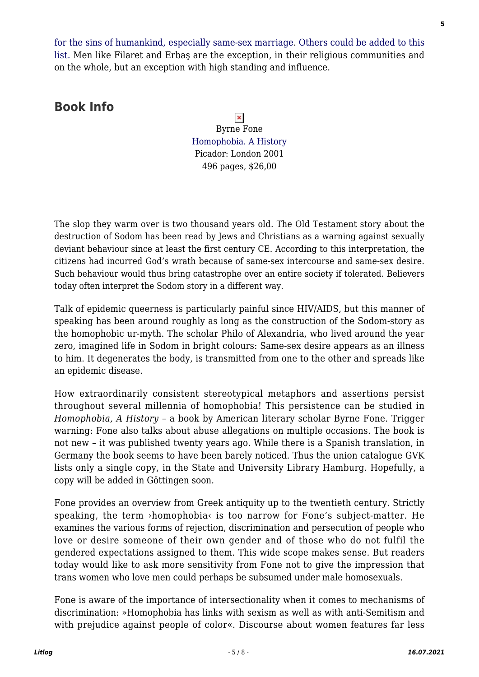[for the sins of humankind, especially same-sex marriage.](https://www.queer.de/detail.php?article_id=35900) [Others could be added to this](https://www.queer.de/detail.php?article_id=35796) [list.](https://www.queer.de/detail.php?article_id=35796) Men like Filaret and Erbaş are the exception, in their religious communities and on the whole, but an exception with high standing and influence.

## **[Book Info](#page--1-0)**

 $\pmb{\times}$ Byrne Fone [Homophobia. A History](https://us.macmillan.com/books/9780312420307) Picador: London 2001 496 pages, \$26,00

The slop they warm over is two thousand years old. The Old Testament story about the destruction of Sodom has been read by Jews and Christians as a warning against sexually deviant behaviour since at least the first century CE. According to this interpretation, the citizens had incurred God's wrath because of same-sex intercourse and same-sex desire. Such behaviour would thus bring catastrophe over an entire society if tolerated. Believers today often interpret the Sodom story in a different way.

Talk of epidemic queerness is particularly painful since HIV/AIDS, but this manner of speaking has been around roughly as long as the construction of the Sodom-story as the homophobic ur-myth. The scholar Philo of Alexandria, who lived around the year zero, imagined life in Sodom in bright colours: Same-sex desire appears as an illness to him. It degenerates the body, is transmitted from one to the other and spreads like an epidemic disease.

How extraordinarily consistent stereotypical metaphors and assertions persist throughout several millennia of homophobia! This persistence can be studied in *Homophobia, A History* – a book by American literary scholar Byrne Fone. Trigger warning: Fone also talks about abuse allegations on multiple occasions. The book is not new – it was published twenty years ago. While there is a Spanish translation, in Germany the book seems to have been barely noticed. Thus the union catalogue GVK lists only a single copy, in the State and University Library Hamburg. Hopefully, a copy will be added in Göttingen soon.

Fone provides an overview from Greek antiquity up to the twentieth century. Strictly speaking, the term >homophobia< is too narrow for Fone's subject-matter. He examines the various forms of rejection, discrimination and persecution of people who love or desire someone of their own gender and of those who do not fulfil the gendered expectations assigned to them. This wide scope makes sense. But readers today would like to ask more sensitivity from Fone not to give the impression that trans women who love men could perhaps be subsumed under male homosexuals.

Fone is aware of the importance of intersectionality when it comes to mechanisms of discrimination: »Homophobia has links with sexism as well as with anti-Semitism and with prejudice against people of color«. Discourse about women features far less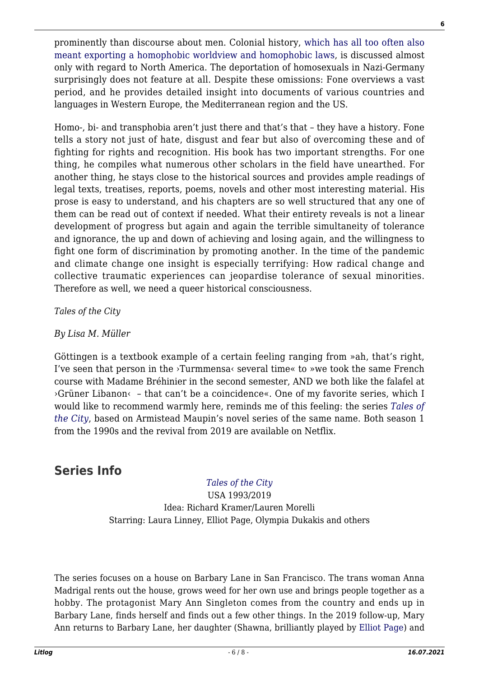prominently than discourse about men. Colonial history, [which has all too often also](https://youtu.be/6DQYu4iBNiQ) [meant exporting a homophobic worldview and homophobic laws](https://youtu.be/6DQYu4iBNiQ), is discussed almost only with regard to North America. The deportation of homosexuals in Nazi-Germany surprisingly does not feature at all. Despite these omissions: Fone overviews a vast period, and he provides detailed insight into documents of various countries and languages in Western Europe, the Mediterranean region and the US.

Homo-, bi- and transphobia aren't just there and that's that – they have a history. Fone tells a story not just of hate, disgust and fear but also of overcoming these and of fighting for rights and recognition. His book has two important strengths. For one thing, he compiles what numerous other scholars in the field have unearthed. For another thing, he stays close to the historical sources and provides ample readings of legal texts, treatises, reports, poems, novels and other most interesting material. His prose is easy to understand, and his chapters are so well structured that any one of them can be read out of context if needed. What their entirety reveals is not a linear development of progress but again and again the terrible simultaneity of tolerance and ignorance, the up and down of achieving and losing again, and the willingness to fight one form of discrimination by promoting another. In the time of the pandemic and climate change one insight is especially terrifying: How radical change and collective traumatic experiences can jeopardise tolerance of sexual minorities. Therefore as well, we need a queer historical consciousness.

*Tales of the City*

## *By Lisa M. Müller*

Göttingen is a textbook example of a certain feeling ranging from »ah, that's right, I've seen that person in the ›Turmmensa‹ several time« to »we took the same French course with Madame Bréhinier in the second semester, AND we both like the falafel at ›Grüner Libanon‹ – that can't be a coincidence«. One of my favorite series, which I would like to recommend warmly here, reminds me of this feeling: the series *[Tales of](https://www.youtube.com/watch?v=9IUSCVH61xw) [the City](https://www.youtube.com/watch?v=9IUSCVH61xw)*, based on Armistead Maupin's novel series of the same name. Both season 1 from the 1990s and the revival from 2019 are available on Netflix.

# **[Series Info](#page--1-0)**

## *[Tales of the City](https://www.netflix.com/de/title/80211563)*

USA 1993/2019 Idea: Richard Kramer/Lauren Morelli Starring: Laura Linney, Elliot Page, Olympia Dukakis and others

The series focuses on a house on Barbary Lane in San Francisco. The trans woman Anna Madrigal rents out the house, grows weed for her own use and brings people together as a hobby. The protagonist Mary Ann Singleton comes from the country and ends up in Barbary Lane, finds herself and finds out a few other things. In the 2019 follow-up, Mary Ann returns to Barbary Lane, her daughter (Shawna, brilliantly played by [Elliot Page\)](https://en.wikipedia.org/wiki/Elliot_Page) and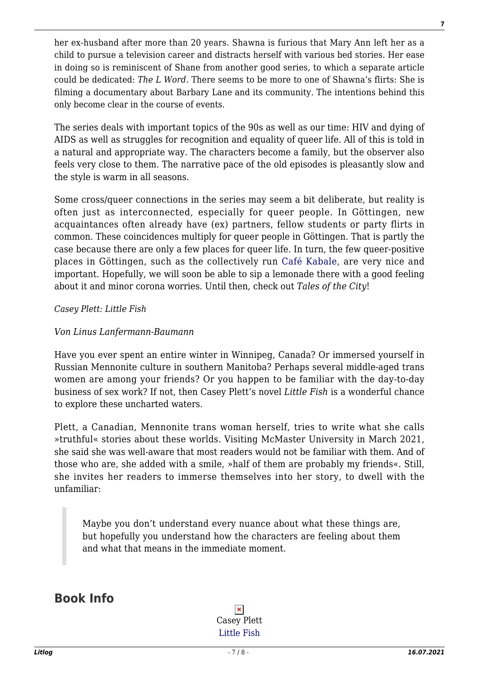her ex-husband after more than 20 years. Shawna is furious that Mary Ann left her as a child to pursue a television career and distracts herself with various bed stories. Her ease in doing so is reminiscent of Shane from another good series, to which a separate article could be dedicated: *The L Word*. There seems to be more to one of Shawna's flirts: She is filming a documentary about Barbary Lane and its community. The intentions behind this only become clear in the course of events.

The series deals with important topics of the 90s as well as our time: HIV and dying of AIDS as well as struggles for recognition and equality of queer life. All of this is told in a natural and appropriate way. The characters become a family, but the observer also feels very close to them. The narrative pace of the old episodes is pleasantly slow and the style is warm in all seasons.

Some cross/queer connections in the series may seem a bit deliberate, but reality is often just as interconnected, especially for queer people. In Göttingen, new acquaintances often already have (ex) partners, fellow students or party flirts in common. These coincidences multiply for queer people in Göttingen. That is partly the case because there are only a few places for queer life. In turn, the few queer-positive places in Göttingen, such as the collectively run [Café Kabale](http://cafe-kabale.de/?fbclid=IwAR2tYKSp1pvCK5VMl65jmmEglGEmzzAutqKvlvx3W_4dJgQANYCQsXl3JKg), are very nice and important. Hopefully, we will soon be able to sip a lemonade there with a good feeling about it and minor corona worries. Until then, check out *Tales of the City*!

#### *Casey Plett: Little Fish*

#### *Von Linus Lanfermann-Baumann*

Have you ever spent an entire winter in Winnipeg, Canada? Or immersed yourself in Russian Mennonite culture in southern Manitoba? Perhaps several middle-aged trans women are among your friends? Or you happen to be familiar with the day-to-day business of sex work? If not, then Casey Plett's novel *Little Fish* is a wonderful chance to explore these uncharted waters.

Plett, a Canadian, Mennonite trans woman herself, tries to write what she calls »truthful« stories about these worlds. Visiting McMaster University in March 2021, she said she was well-aware that most readers would not be familiar with them. And of those who are, she added with a smile, »half of them are probably my friends«. Still, she invites her readers to immerse themselves into her story, to dwell with the unfamiliar:

Maybe you don't understand every nuance about what these things are, but hopefully you understand how the characters are feeling about them and what that means in the immediate moment.

# **[Book Info](#page--1-0)**